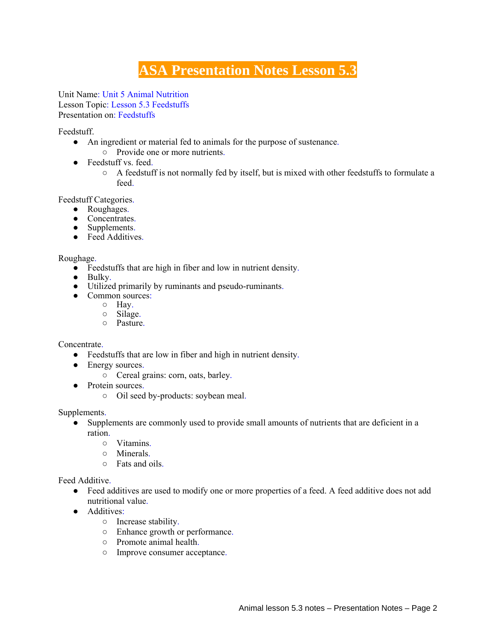## **ASA Presentation Notes Lesson 5.3**

Unit Name: Unit 5 Animal Nutrition Lesson Topic: Lesson 5.3 Feedstuffs Presentation on: Feedstuffs

Feedstuff.

- An ingredient or material fed to animals for the purpose of sustenance.
	- Provide one or more nutrients.
- Feedstuff vs. feed.
	- A feedstuff is not normally fed by itself, but is mixed with other feedstuffs to formulate a feed.

Feedstuff Categories.

- Roughages.
- Concentrates.
- Supplements.
- Feed Additives.

## Roughage.

- Feedstuffs that are high in fiber and low in nutrient density.
- Bulky.
- Utilized primarily by ruminants and pseudo-ruminants.
- Common sources:
	- Hay.
	- Silage.
	- Pasture.

Concentrate.

- Feedstuffs that are low in fiber and high in nutrient density.
- Energy sources.
	- Cereal grains: corn, oats, barley.
- Protein sources.
	- Oil seed by-products: soybean meal.

Supplements.

- Supplements are commonly used to provide small amounts of nutrients that are deficient in a ration.
	- Vitamins.
	- Minerals.
	- Fats and oils.

Feed Additive.

- Feed additives are used to modify one or more properties of a feed. A feed additive does not add nutritional value.
- Additives:
	- Increase stability.
	- Enhance growth or performance.
	- Promote animal health.
	- Improve consumer acceptance.